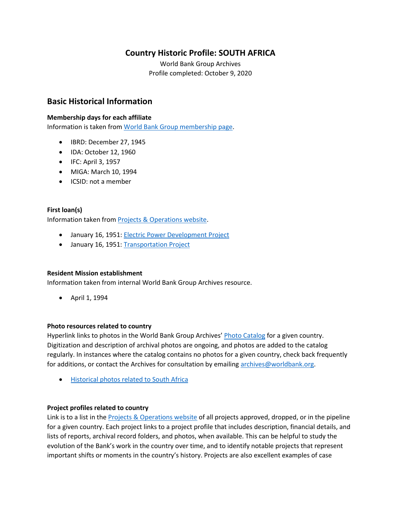# **Country Historic Profile: SOUTH AFRICA**

World Bank Group Archives Profile completed: October 9, 2020

## **Basic Historical Information**

#### **Membership days for each affiliate**

Information is taken from [World Bank Group membership page.](https://www.worldbank.org/en/about/leadership/members#1)

- IBRD: December 27, 1945
- IDA: October 12, 1960
- IFC: April 3, 1957
- MIGA: March 10, 1994
- ICSID: not a member

#### **First loan(s)**

Information taken from [Projects & Operations website.](https://projects.worldbank.org/)

- January 16, 1951: [Electric Power Development Project](https://projects.worldbank.org/en/projects-operations/project-detail/P037472)
- January 16, 1951: [Transportation Project](https://projects.worldbank.org/en/projects-operations/project-detail/P037473)

#### **Resident Mission establishment**

Information taken from internal World Bank Group Archives resource.

• April 1, 1994

#### **Photo resources related to country**

Hyperlink links to photos in the World Bank Group Archives' [Photo Catalog](https://archivesphotos.worldbank.org/en/about/archives/photo-gallery) for a given country. Digitization and description of archival photos are ongoing, and photos are added to the catalog regularly. In instances where the catalog contains no photos for a given country, check back frequently for additions, or contact the Archives for consultation by emailing [archives@worldbank.org.](mailto:archives@worldbank.org)

• [Historical photos related to South Africa](https://archivesphotos.worldbank.org/en/about/archives/photo-gallery/photo-gallery-landing?qterm=%22south%20africa%22)

#### **Project profiles related to country**

Link is to a list in the **Projects & Operations website of all projects approved**, dropped, or in the pipeline for a given country. Each project links to a project profile that includes description, financial details, and lists of reports, archival record folders, and photos, when available. This can be helpful to study the evolution of the Bank's work in the country over time, and to identify notable projects that represent important shifts or moments in the country's history. Projects are also excellent examples of case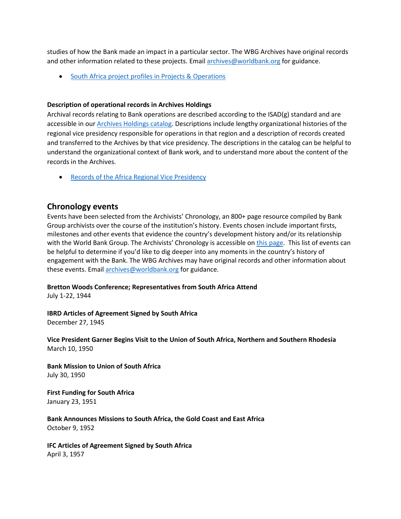studies of how the Bank made an impact in a particular sector. The WBG Archives have original records and other information related to these projects. Email [archives@worldbank.org](mailto:archives@worldbank.org) for guidance.

• [South Africa project profiles in Projects & Operations](https://projects.worldbank.org/en/projects-operations/projects-summary?countrycode_exact=ZA)

#### **Description of operational records in Archives Holdings**

Archival records relating to Bank operations are described according to the ISAD(g) standard and are accessible in our [Archives Holdings catalog.](https://archivesholdings.worldbank.org/) Descriptions include lengthy organizational histories of the regional vice presidency responsible for operations in that region and a description of records created and transferred to the Archives by that vice presidency. The descriptions in the catalog can be helpful to understand the organizational context of Bank work, and to understand more about the content of the records in the Archives.

• [Records of the Africa Regional Vice Presidency](https://archivesholdings.worldbank.org/records-of-africa-regional-vice-presidency)

## **Chronology events**

Events have been selected from the Archivists' Chronology, an 800+ page resource compiled by Bank Group archivists over the course of the institution's history. Events chosen include important firsts, milestones and other events that evidence the country's development history and/or its relationship with the World Bank Group. The Archivists' Chronology is accessible on [this page.](https://www.worldbank.org/en/about/archives/history/timeline) This list of events can be helpful to determine if you'd like to dig deeper into any moments in the country's history of engagement with the Bank. The WBG Archives may have original records and other information about these events. Email [archives@worldbank.org](mailto:archives@worldbank.org) for guidance.

#### **Bretton Woods Conference; Representatives from South Africa Attend**

July 1-22, 1944

**IBRD Articles of Agreement Signed by South Africa** December 27, 1945

**Vice President Garner Begins Visit to the Union of South Africa, Northern and Southern Rhodesia** March 10, 1950

**Bank Mission to Union of South Africa** July 30, 1950

**First Funding for South Africa** January 23, 1951

**Bank Announces Missions to South Africa, the Gold Coast and East Africa** October 9, 1952

**IFC Articles of Agreement Signed by South Africa** April 3, 1957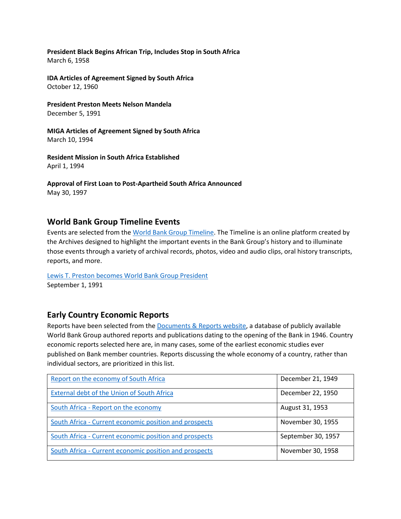**President Black Begins African Trip, Includes Stop in South Africa** March 6, 1958

**IDA Articles of Agreement Signed by South Africa** October 12, 1960

**President Preston Meets Nelson Mandela** December 5, 1991

**MIGA Articles of Agreement Signed by South Africa** March 10, 1994

**Resident Mission in South Africa Established** April 1, 1994

**Approval of First Loan to Post-Apartheid South Africa Announced** May 30, 1997

## **World Bank Group Timeline Events**

Events are selected from th[e World Bank Group Timeline.](https://timeline.worldbank.org/#event-bretton-woods-conference-begins) The Timeline is an online platform created by the Archives designed to highlight the important events in the Bank Group's history and to illuminate those events through a variety of archival records, photos, video and audio clips, oral history transcripts, reports, and more.

[Lewis T. Preston becomes World Bank Group President](https://timeline.worldbank.org/?field_timeline_target_id=All&combine=South%20Africa#event-lewis-t-preston-becomes-world-bank-group-president) September 1, 1991

### **Early Country Economic Reports**

Reports have been selected from the [Documents & Reports website,](https://documents.worldbank.org/) a database of publicly available World Bank Group authored reports and publications dating to the opening of the Bank in 1946. Country economic reports selected here are, in many cases, some of the earliest economic studies ever published on Bank member countries. Reports discussing the whole economy of a country, rather than individual sectors, are prioritized in this list.

| Report on the economy of South Africa                  | December 21, 1949  |
|--------------------------------------------------------|--------------------|
| External debt of the Union of South Africa             | December 22, 1950  |
| South Africa - Report on the economy                   | August 31, 1953    |
| South Africa - Current economic position and prospects | November 30, 1955  |
| South Africa - Current economic position and prospects | September 30, 1957 |
| South Africa - Current economic position and prospects | November 30, 1958  |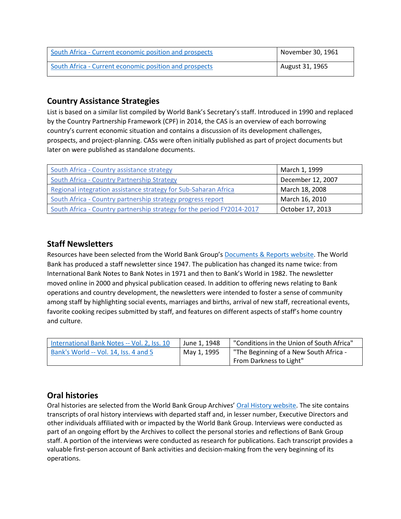| South Africa - Current economic position and prospects | November 30, 1961 |
|--------------------------------------------------------|-------------------|
| South Africa - Current economic position and prospects | August 31, 1965   |

# **Country Assistance Strategies**

List is based on a similar list compiled by World Bank's Secretary's staff. Introduced in 1990 and replaced by the Country Partnership Framework (CPF) in 2014, the CAS is an overview of each borrowing country's current economic situation and contains a discussion of its development challenges, prospects, and project-planning. CASs were often initially published as part of project documents but later on were published as standalone documents.

| South Africa - Country assistance strategy                             | March 1, 1999     |
|------------------------------------------------------------------------|-------------------|
| South Africa - Country Partnership Strategy                            | December 12, 2007 |
| Regional integration assistance strategy for Sub-Saharan Africa        | March 18, 2008    |
| South Africa - Country partnership strategy progress report            | March 16, 2010    |
| South Africa - Country partnership strategy for the period FY2014-2017 | October 17, 2013  |

# **Staff Newsletters**

Resources have been selected from the World Bank Group's [Documents & Reports website.](https://documents.worldbank.org/) The World Bank has produced a staff newsletter since 1947. The publication has changed its name twice: from International Bank Notes to Bank Notes in 1971 and then to Bank's World in 1982. The newsletter moved online in 2000 and physical publication ceased. In addition to offering news relating to Bank operations and country development, the newsletters were intended to foster a sense of community among staff by highlighting social events, marriages and births, arrival of new staff, recreational events, favorite cooking recipes submitted by staff, and features on different aspects of staff's home country and culture.

| International Bank Notes -- Vol. 2, Iss. 10 | June 1, 1948                                          | "Conditions in the Union of South Africa" |
|---------------------------------------------|-------------------------------------------------------|-------------------------------------------|
| Bank's World -- Vol. 14, Iss. 4 and 5       | "The Beginning of a New South Africa -<br>May 1, 1995 |                                           |
|                                             |                                                       | From Darkness to Light"                   |

# **Oral histories**

Oral histories are selected from the World Bank Group Archives' [Oral History website.](https://oralhistory.worldbank.org/) The site contains transcripts of oral history interviews with departed staff and, in lesser number, Executive Directors and other individuals affiliated with or impacted by the World Bank Group. Interviews were conducted as part of an ongoing effort by the Archives to collect the personal stories and reflections of Bank Group staff. A portion of the interviews were conducted as research for publications. Each transcript provides a valuable first-person account of Bank activities and decision-making from the very beginning of its operations.